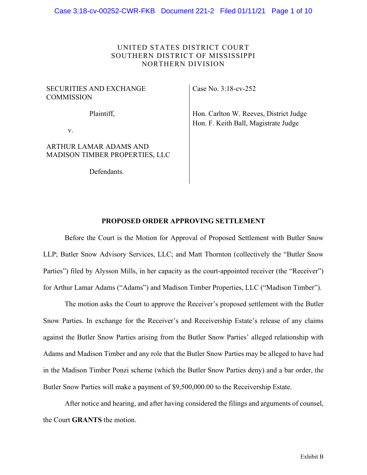# UNITED STATES DISTRICT COURT SOUTHERN DISTRICT OF MISSISSIPPI NORTHERN DIVISION

## SECURITIES AND EXCHANGE **COMMISSION**

Plaintiff,

v.

# ARTHUR LAMAR ADAMS AND MADISON TIMBER PROPERTIES, LLC

Defendants.

Case No. 3:18-cv-252

Hon. Carlton W. Reeves, District Judge Hon. F. Keith Ball, Magistrate Judge

# **PROPOSED ORDER APPROVING SETTLEMENT**

Before the Court is the Motion for Approval of Proposed Settlement with Butler Snow LLP; Butler Snow Advisory Services, LLC; and Matt Thornton (collectively the "Butler Snow Parties") filed by Alysson Mills, in her capacity as the court-appointed receiver (the "Receiver") for Arthur Lamar Adams ("Adams") and Madison Timber Properties, LLC ("Madison Timber").

The motion asks the Court to approve the Receiver's proposed settlement with the Butler Snow Parties. In exchange for the Receiver's and Receivership Estate's release of any claims against the Butler Snow Parties arising from the Butler Snow Parties' alleged relationship with Adams and Madison Timber and any role that the Butler Snow Parties may be alleged to have had in the Madison Timber Ponzi scheme (which the Butler Snow Parties deny) and a bar order, the Butler Snow Parties will make a payment of \$9,500,000.00 to the Receivership Estate.

After notice and hearing, and after having considered the filings and arguments of counsel, the Court **GRANTS** the motion.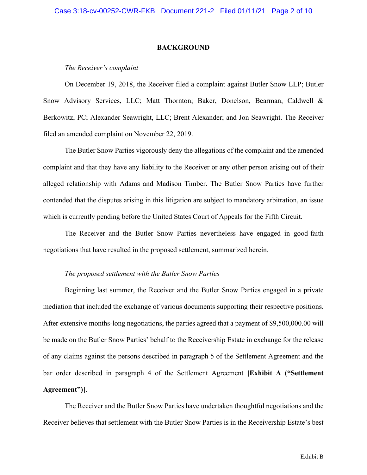#### **BACKGROUND**

#### *The Receiver's complaint*

On December 19, 2018, the Receiver filed a complaint against Butler Snow LLP; Butler Snow Advisory Services, LLC; Matt Thornton; Baker, Donelson, Bearman, Caldwell & Berkowitz, PC; Alexander Seawright, LLC; Brent Alexander; and Jon Seawright. The Receiver filed an amended complaint on November 22, 2019.

The Butler Snow Parties vigorously deny the allegations of the complaint and the amended complaint and that they have any liability to the Receiver or any other person arising out of their alleged relationship with Adams and Madison Timber. The Butler Snow Parties have further contended that the disputes arising in this litigation are subject to mandatory arbitration, an issue which is currently pending before the United States Court of Appeals for the Fifth Circuit.

The Receiver and the Butler Snow Parties nevertheless have engaged in good-faith negotiations that have resulted in the proposed settlement, summarized herein.

#### *The proposed settlement with the Butler Snow Parties*

Beginning last summer, the Receiver and the Butler Snow Parties engaged in a private mediation that included the exchange of various documents supporting their respective positions. After extensive months-long negotiations, the parties agreed that a payment of \$9,500,000.00 will be made on the Butler Snow Parties' behalf to the Receivership Estate in exchange for the release of any claims against the persons described in paragraph 5 of the Settlement Agreement and the bar order described in paragraph 4 of the Settlement Agreement **[Exhibit A ("Settlement Agreement")]**.

The Receiver and the Butler Snow Parties have undertaken thoughtful negotiations and the Receiver believes that settlement with the Butler Snow Parties is in the Receivership Estate's best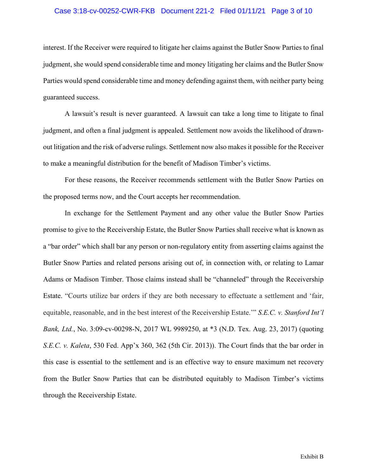### Case 3:18-cv-00252-CWR-FKB Document 221-2 Filed 01/11/21 Page 3 of 10

interest. If the Receiver were required to litigate her claims against the Butler Snow Parties to final judgment, she would spend considerable time and money litigating her claims and the Butler Snow Parties would spend considerable time and money defending against them, with neither party being guaranteed success.

A lawsuit's result is never guaranteed. A lawsuit can take a long time to litigate to final judgment, and often a final judgment is appealed. Settlement now avoids the likelihood of drawnout litigation and the risk of adverse rulings. Settlement now also makes it possible for the Receiver to make a meaningful distribution for the benefit of Madison Timber's victims.

For these reasons, the Receiver recommends settlement with the Butler Snow Parties on the proposed terms now, and the Court accepts her recommendation.

In exchange for the Settlement Payment and any other value the Butler Snow Parties promise to give to the Receivership Estate, the Butler Snow Parties shall receive what is known as a "bar order" which shall bar any person or non-regulatory entity from asserting claims against the Butler Snow Parties and related persons arising out of, in connection with, or relating to Lamar Adams or Madison Timber. Those claims instead shall be "channeled" through the Receivership Estate. "Courts utilize bar orders if they are both necessary to effectuate a settlement and 'fair, equitable, reasonable, and in the best interest of the Receivership Estate.'" *S.E.C. v. Stanford Int'l Bank, Ltd.*, No. 3:09-cv-00298-N, 2017 WL 9989250, at \*3 (N.D. Tex. Aug. 23, 2017) (quoting *S.E.C. v. Kaleta*, 530 Fed. App'x 360, 362 (5th Cir. 2013)). The Court finds that the bar order in this case is essential to the settlement and is an effective way to ensure maximum net recovery from the Butler Snow Parties that can be distributed equitably to Madison Timber's victims through the Receivership Estate.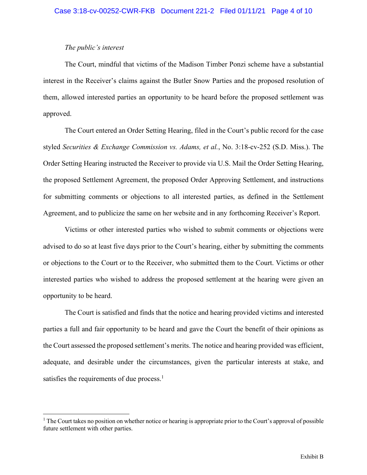## *The public's interest*

The Court, mindful that victims of the Madison Timber Ponzi scheme have a substantial interest in the Receiver's claims against the Butler Snow Parties and the proposed resolution of them, allowed interested parties an opportunity to be heard before the proposed settlement was approved.

The Court entered an Order Setting Hearing, filed in the Court's public record for the case styled *Securities & Exchange Commission vs. Adams, et al.*, No. 3:18-cv-252 (S.D. Miss.). The Order Setting Hearing instructed the Receiver to provide via U.S. Mail the Order Setting Hearing, the proposed Settlement Agreement, the proposed Order Approving Settlement, and instructions for submitting comments or objections to all interested parties, as defined in the Settlement Agreement, and to publicize the same on her website and in any forthcoming Receiver's Report.

Victims or other interested parties who wished to submit comments or objections were advised to do so at least five days prior to the Court's hearing, either by submitting the comments or objections to the Court or to the Receiver, who submitted them to the Court. Victims or other interested parties who wished to address the proposed settlement at the hearing were given an opportunity to be heard.

The Court is satisfied and finds that the notice and hearing provided victims and interested parties a full and fair opportunity to be heard and gave the Court the benefit of their opinions as the Court assessed the proposed settlement's merits. The notice and hearing provided was efficient, adequate, and desirable under the circumstances, given the particular interests at stake, and satisfies the requirements of due process.<sup>1</sup>

<sup>&</sup>lt;sup>1</sup> The Court takes no position on whether notice or hearing is appropriate prior to the Court's approval of possible future settlement with other parties.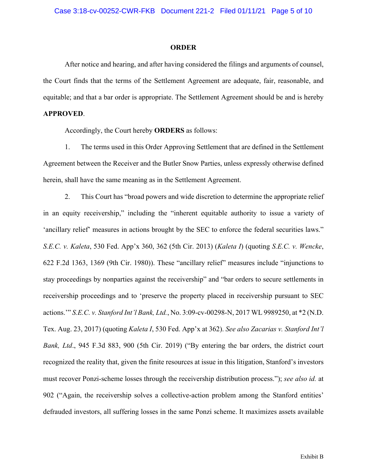#### **ORDER**

After notice and hearing, and after having considered the filings and arguments of counsel, the Court finds that the terms of the Settlement Agreement are adequate, fair, reasonable, and equitable; and that a bar order is appropriate. The Settlement Agreement should be and is hereby

# **APPROVED**.

Accordingly, the Court hereby **ORDERS** as follows:

1. The terms used in this Order Approving Settlement that are defined in the Settlement Agreement between the Receiver and the Butler Snow Parties, unless expressly otherwise defined herein, shall have the same meaning as in the Settlement Agreement.

2. This Court has "broad powers and wide discretion to determine the appropriate relief in an equity receivership," including the "inherent equitable authority to issue a variety of 'ancillary relief' measures in actions brought by the SEC to enforce the federal securities laws." *S.E.C. v. Kaleta*, 530 Fed. App'x 360, 362 (5th Cir. 2013) (*Kaleta I*) (quoting *S.E.C. v. Wencke*, 622 F.2d 1363, 1369 (9th Cir. 1980)). These "ancillary relief" measures include "injunctions to stay proceedings by nonparties against the receivership" and "bar orders to secure settlements in receivership proceedings and to 'preserve the property placed in receivership pursuant to SEC actions.'" *S.E.C. v. Stanford Int'l Bank, Ltd.*, No. 3:09-cv-00298-N, 2017 WL 9989250, at \*2 (N.D. Tex. Aug. 23, 2017) (quoting *Kaleta I*, 530 Fed. App'x at 362). *See also Zacarias v. Stanford Int'l Bank, Ltd*., 945 F.3d 883, 900 (5th Cir. 2019) ("By entering the bar orders, the district court recognized the reality that, given the finite resources at issue in this litigation, Stanford's investors must recover Ponzi-scheme losses through the receivership distribution process."); *see also id.* at 902 ("Again, the receivership solves a collective-action problem among the Stanford entities' defrauded investors, all suffering losses in the same Ponzi scheme. It maximizes assets available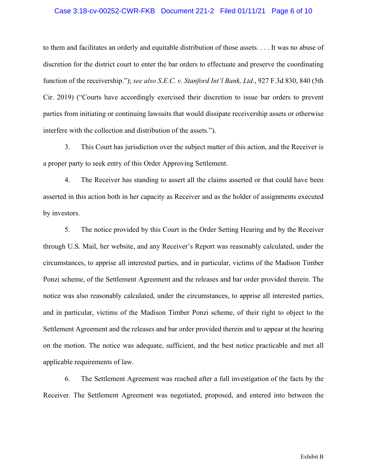## Case 3:18-cv-00252-CWR-FKB Document 221-2 Filed 01/11/21 Page 6 of 10

to them and facilitates an orderly and equitable distribution of those assets. . . . It was no abuse of discretion for the district court to enter the bar orders to effectuate and preserve the coordinating function of the receivership."); *see also S.E.C. v. Stanford Int'l Bank, Ltd.*, 927 F.3d 830, 840 (5th Cir. 2019) ("Courts have accordingly exercised their discretion to issue bar orders to prevent parties from initiating or continuing lawsuits that would dissipate receivership assets or otherwise interfere with the collection and distribution of the assets.").

3. This Court has jurisdiction over the subject matter of this action, and the Receiver is a proper party to seek entry of this Order Approving Settlement.

4. The Receiver has standing to assert all the claims asserted or that could have been asserted in this action both in her capacity as Receiver and as the holder of assignments executed by investors.

5. The notice provided by this Court in the Order Setting Hearing and by the Receiver through U.S. Mail, her website, and any Receiver's Report was reasonably calculated, under the circumstances, to apprise all interested parties, and in particular, victims of the Madison Timber Ponzi scheme, of the Settlement Agreement and the releases and bar order provided therein. The notice was also reasonably calculated, under the circumstances, to apprise all interested parties, and in particular, victims of the Madison Timber Ponzi scheme, of their right to object to the Settlement Agreement and the releases and bar order provided therein and to appear at the hearing on the motion. The notice was adequate, sufficient, and the best notice practicable and met all applicable requirements of law.

6. The Settlement Agreement was reached after a full investigation of the facts by the Receiver. The Settlement Agreement was negotiated, proposed, and entered into between the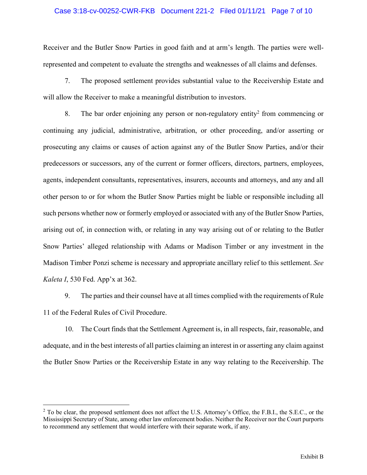## Case 3:18-cv-00252-CWR-FKB Document 221-2 Filed 01/11/21 Page 7 of 10

Receiver and the Butler Snow Parties in good faith and at arm's length. The parties were wellrepresented and competent to evaluate the strengths and weaknesses of all claims and defenses.

7. The proposed settlement provides substantial value to the Receivership Estate and will allow the Receiver to make a meaningful distribution to investors.

8. The bar order enjoining any person or non-regulatory entity2 from commencing or continuing any judicial, administrative, arbitration, or other proceeding, and/or asserting or prosecuting any claims or causes of action against any of the Butler Snow Parties, and/or their predecessors or successors, any of the current or former officers, directors, partners, employees, agents, independent consultants, representatives, insurers, accounts and attorneys, and any and all other person to or for whom the Butler Snow Parties might be liable or responsible including all such persons whether now or formerly employed or associated with any of the Butler Snow Parties, arising out of, in connection with, or relating in any way arising out of or relating to the Butler Snow Parties' alleged relationship with Adams or Madison Timber or any investment in the Madison Timber Ponzi scheme is necessary and appropriate ancillary relief to this settlement. *See Kaleta I*, 530 Fed. App'x at 362.

9. The parties and their counsel have at all times complied with the requirements of Rule 11 of the Federal Rules of Civil Procedure.

10. The Court finds that the Settlement Agreement is, in all respects, fair, reasonable, and adequate, and in the best interests of all parties claiming an interest in or asserting any claim against the Butler Snow Parties or the Receivership Estate in any way relating to the Receivership. The

<sup>&</sup>lt;sup>2</sup> To be clear, the proposed settlement does not affect the U.S. Attorney's Office, the F.B.I., the S.E.C., or the Mississippi Secretary of State, among other law enforcement bodies. Neither the Receiver nor the Court purports to recommend any settlement that would interfere with their separate work, if any.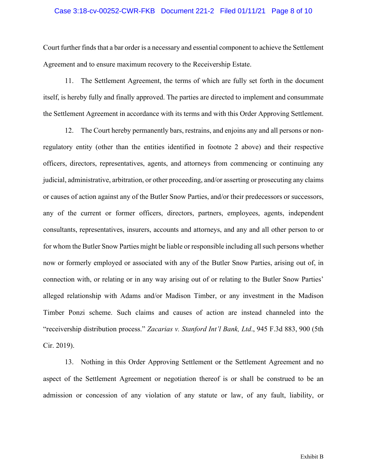### Case 3:18-cv-00252-CWR-FKB Document 221-2 Filed 01/11/21 Page 8 of 10

Court further finds that a bar order is a necessary and essential component to achieve the Settlement Agreement and to ensure maximum recovery to the Receivership Estate.

11. The Settlement Agreement, the terms of which are fully set forth in the document itself, is hereby fully and finally approved. The parties are directed to implement and consummate the Settlement Agreement in accordance with its terms and with this Order Approving Settlement.

12. The Court hereby permanently bars, restrains, and enjoins any and all persons or nonregulatory entity (other than the entities identified in footnote 2 above) and their respective officers, directors, representatives, agents, and attorneys from commencing or continuing any judicial, administrative, arbitration, or other proceeding, and/or asserting or prosecuting any claims or causes of action against any of the Butler Snow Parties, and/or their predecessors or successors, any of the current or former officers, directors, partners, employees, agents, independent consultants, representatives, insurers, accounts and attorneys, and any and all other person to or for whom the Butler Snow Parties might be liable or responsible including all such persons whether now or formerly employed or associated with any of the Butler Snow Parties, arising out of, in connection with, or relating or in any way arising out of or relating to the Butler Snow Parties' alleged relationship with Adams and/or Madison Timber, or any investment in the Madison Timber Ponzi scheme. Such claims and causes of action are instead channeled into the "receivership distribution process." *Zacarias v. Stanford Int'l Bank, Ltd*., 945 F.3d 883, 900 (5th Cir. 2019).

13. Nothing in this Order Approving Settlement or the Settlement Agreement and no aspect of the Settlement Agreement or negotiation thereof is or shall be construed to be an admission or concession of any violation of any statute or law, of any fault, liability, or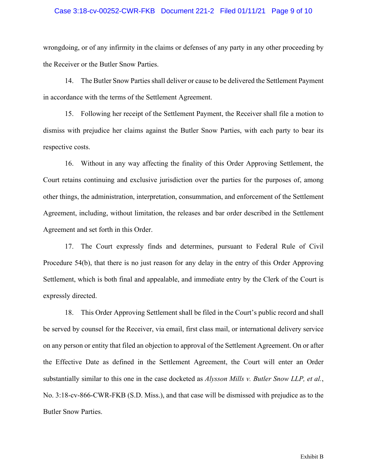### Case 3:18-cv-00252-CWR-FKB Document 221-2 Filed 01/11/21 Page 9 of 10

wrongdoing, or of any infirmity in the claims or defenses of any party in any other proceeding by the Receiver or the Butler Snow Parties.

14. The Butler Snow Parties shall deliver or cause to be delivered the Settlement Payment in accordance with the terms of the Settlement Agreement.

15. Following her receipt of the Settlement Payment, the Receiver shall file a motion to dismiss with prejudice her claims against the Butler Snow Parties, with each party to bear its respective costs.

16. Without in any way affecting the finality of this Order Approving Settlement, the Court retains continuing and exclusive jurisdiction over the parties for the purposes of, among other things, the administration, interpretation, consummation, and enforcement of the Settlement Agreement, including, without limitation, the releases and bar order described in the Settlement Agreement and set forth in this Order.

17. The Court expressly finds and determines, pursuant to Federal Rule of Civil Procedure 54(b), that there is no just reason for any delay in the entry of this Order Approving Settlement, which is both final and appealable, and immediate entry by the Clerk of the Court is expressly directed.

18. This Order Approving Settlement shall be filed in the Court's public record and shall be served by counsel for the Receiver, via email, first class mail, or international delivery service on any person or entity that filed an objection to approval of the Settlement Agreement. On or after the Effective Date as defined in the Settlement Agreement, the Court will enter an Order substantially similar to this one in the case docketed as *Alysson Mills v. Butler Snow LLP, et al.*, No. 3:18-cv-866-CWR-FKB (S.D. Miss.), and that case will be dismissed with prejudice as to the Butler Snow Parties.